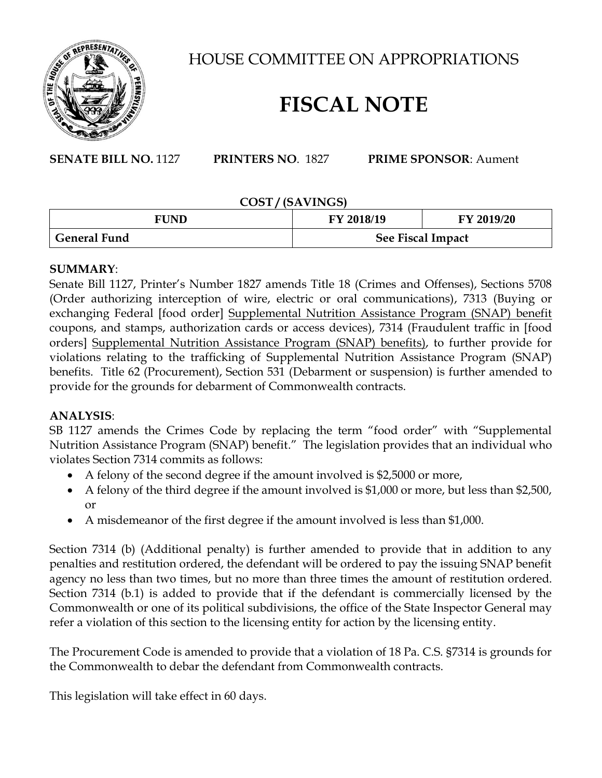

HOUSE COMMITTEE ON APPROPRIATIONS

# **FISCAL NOTE**

**SENATE BILL NO.** 1127 **PRINTERS NO**. 1827 **PRIME SPONSOR**: Aument

#### **COST / (SAVINGS)**

| <b>FUND</b>  | FY 2018/19        | FY 2019/20 |
|--------------|-------------------|------------|
| General Fund | See Fiscal Impact |            |

## **SUMMARY**:

Senate Bill 1127, Printer's Number 1827 amends Title 18 (Crimes and Offenses), Sections 5708 (Order authorizing interception of wire, electric or oral communications), 7313 (Buying or exchanging Federal [food order] Supplemental Nutrition Assistance Program (SNAP) benefit coupons, and stamps, authorization cards or access devices), 7314 (Fraudulent traffic in [food orders] Supplemental Nutrition Assistance Program (SNAP) benefits), to further provide for violations relating to the trafficking of Supplemental Nutrition Assistance Program (SNAP) benefits. Title 62 (Procurement), Section 531 (Debarment or suspension) is further amended to provide for the grounds for debarment of Commonwealth contracts.

# **ANALYSIS**:

SB 1127 amends the Crimes Code by replacing the term "food order" with "Supplemental Nutrition Assistance Program (SNAP) benefit." The legislation provides that an individual who violates Section 7314 commits as follows:

- A felony of the second degree if the amount involved is \$2,5000 or more,
- A felony of the third degree if the amount involved is \$1,000 or more, but less than \$2,500, or
- A misdemeanor of the first degree if the amount involved is less than \$1,000.

Section 7314 (b) (Additional penalty) is further amended to provide that in addition to any penalties and restitution ordered, the defendant will be ordered to pay the issuing SNAP benefit agency no less than two times, but no more than three times the amount of restitution ordered. Section 7314 (b.1) is added to provide that if the defendant is commercially licensed by the Commonwealth or one of its political subdivisions, the office of the State Inspector General may refer a violation of this section to the licensing entity for action by the licensing entity.

The Procurement Code is amended to provide that a violation of 18 Pa. C.S. §7314 is grounds for the Commonwealth to debar the defendant from Commonwealth contracts.

This legislation will take effect in 60 days.